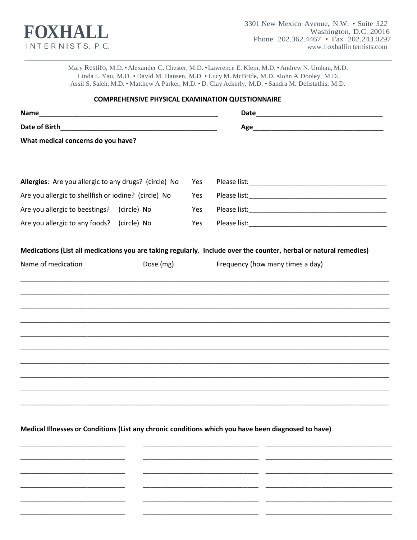

Mary Restifo, M.D. • Alexander C. Chester, M.D. • Lawrence E. Klein, M.D. • Andrew N. Umhau, M.D. Linda L. Yau, M.D. . David M. Hansen, M.D. . Lucy M. McBride, M.D. . John A Dooley, M.D. Assil S. Saleh, M.D. . Matthew A Parker, M.D. . D. Clay Ackerly, M.D. . Sandra M. Delistathis, M.D.

|                                                       |  | <b>COMPREHENSIVE PHYSICAL EXAMINATION QUESTIONNAIRE</b> |  |  |  |
|-------------------------------------------------------|--|---------------------------------------------------------|--|--|--|
|                                                       |  |                                                         |  |  |  |
|                                                       |  |                                                         |  |  |  |
| What medical concerns do you have?                    |  |                                                         |  |  |  |
| Allergies: Are you allergic to any drugs? (circle) No |  | Yes                                                     |  |  |  |
| Are you allergic to shellfish or iodine? (circle) No  |  | Yes                                                     |  |  |  |
| Are you allergic to beestings? (circle) No            |  | Yes                                                     |  |  |  |
| Are you allergic to any foods? (circle) No            |  | Yes                                                     |  |  |  |
|                                                       |  |                                                         |  |  |  |
|                                                       |  |                                                         |  |  |  |
|                                                       |  |                                                         |  |  |  |
|                                                       |  |                                                         |  |  |  |
|                                                       |  |                                                         |  |  |  |
|                                                       |  |                                                         |  |  |  |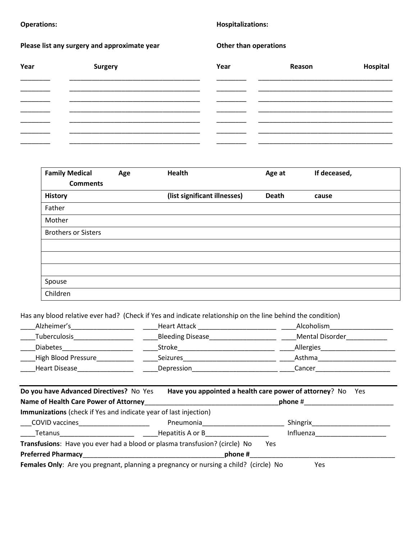## **Operations: Hospitalizations:**

Please list any surgery and approximate year **Discussed Constanting Please list any surgery and approximate year** 

| Year | <b>Surgery</b> | Year | Reason | Hospital |
|------|----------------|------|--------|----------|
|      |                |      |        |          |
|      |                |      |        |          |
|      |                |      |        |          |
|      |                |      |        |          |
|      |                |      |        |          |
|      |                |      |        |          |

| <b>Family Medical</b>      | Age | <b>Health</b>                | Age at       | If deceased, |
|----------------------------|-----|------------------------------|--------------|--------------|
| <b>Comments</b>            |     |                              |              |              |
| <b>History</b>             |     | (list significant illnesses) | <b>Death</b> | cause        |
| Father                     |     |                              |              |              |
| Mother                     |     |                              |              |              |
| <b>Brothers or Sisters</b> |     |                              |              |              |
|                            |     |                              |              |              |
|                            |     |                              |              |              |
|                            |     |                              |              |              |
| Spouse                     |     |                              |              |              |
| Children                   |     |                              |              |              |

Has any blood relative ever had? (Check if Yes and indicate relationship on the line behind the condition)

| Alzheimer's          | Heart Attack            | Alcoholism             |
|----------------------|-------------------------|------------------------|
| <b>Tuberculosis</b>  | <b>Bleeding Disease</b> | <b>Mental Disorder</b> |
| <b>Diabetes</b>      | Stroke                  | Allergies              |
| High Blood Pressure  | <b>Seizures</b>         | Asthma                 |
| <b>Heart Disease</b> | Depression              | Cancer                 |

| Do you have Advanced Directives? No Yes                                              | Have you appointed a health care power of attorney? No Yes |            |           |  |
|--------------------------------------------------------------------------------------|------------------------------------------------------------|------------|-----------|--|
| Name of Health Care Power of Attorney                                                |                                                            |            | phone #   |  |
| Immunizations (check if Yes and indicate year of last injection)                     |                                                            |            |           |  |
| COVID vaccines <b>COVID</b>                                                          | Pneumonia                                                  |            | Shingrix  |  |
| <b>Tetanus Example 2014</b>                                                          | Hepatitis A or B                                           |            | Influenza |  |
| Transfusions: Have you ever had a blood or plasma transfusion? (circle) No           |                                                            | <b>Yes</b> |           |  |
| <b>Preferred Pharmacy</b>                                                            | phone #                                                    |            |           |  |
| Females Only: Are you pregnant, planning a pregnancy or nursing a child? (circle) No |                                                            |            | Yes       |  |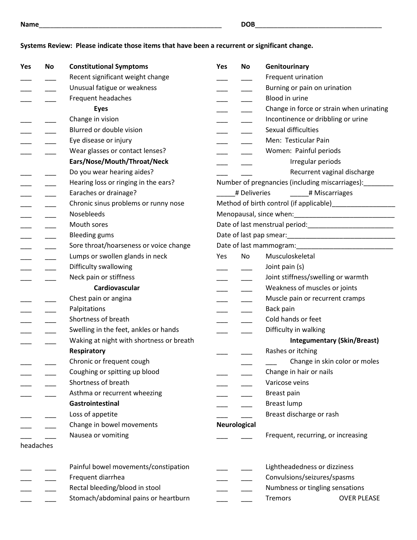## **Systems Review: Please indicate those items that have been a recurrent or significant change.**

| Yes       | No | <b>Constitutional Symptoms</b>           | Yes | No                  | Genitourinary                                            |
|-----------|----|------------------------------------------|-----|---------------------|----------------------------------------------------------|
|           |    | Recent significant weight change         |     |                     | Frequent urination                                       |
|           |    | Unusual fatigue or weakness              |     |                     | Burning or pain on urination                             |
|           |    | Frequent headaches                       |     |                     | Blood in urine                                           |
|           |    | <b>Eyes</b>                              |     |                     | Change in force or strain when urinating                 |
|           |    | Change in vision                         |     |                     | Incontinence or dribbling or urine                       |
|           |    | Blurred or double vision                 |     |                     | Sexual difficulties                                      |
|           |    | Eye disease or injury                    |     |                     | Men: Testicular Pain                                     |
|           |    | Wear glasses or contact lenses?          |     |                     | Women: Painful periods                                   |
|           |    | Ears/Nose/Mouth/Throat/Neck              |     |                     | Irregular periods                                        |
|           |    | Do you wear hearing aides?               |     |                     | Recurrent vaginal discharge                              |
|           |    | Hearing loss or ringing in the ears?     |     |                     | Number of pregnancies (including miscarriages): ________ |
|           |    | Earaches or drainage?                    |     | # Deliveries        | # Miscarriages                                           |
|           |    | Chronic sinus problems or runny nose     |     |                     |                                                          |
|           |    | Nosebleeds                               |     |                     |                                                          |
|           |    | Mouth sores                              |     |                     |                                                          |
|           |    | <b>Bleeding gums</b>                     |     |                     |                                                          |
|           |    | Sore throat/hoarseness or voice change   |     |                     |                                                          |
|           |    | Lumps or swollen glands in neck          | Yes | No                  | Musculoskeletal                                          |
|           |    | Difficulty swallowing                    |     |                     | Joint pain (s)                                           |
|           |    | Neck pain or stiffness                   |     |                     | Joint stiffness/swelling or warmth                       |
|           |    | Cardiovascular                           |     |                     | Weakness of muscles or joints                            |
|           |    | Chest pain or angina                     |     |                     | Muscle pain or recurrent cramps                          |
|           |    | Palpitations                             |     |                     | Back pain                                                |
|           |    | Shortness of breath                      |     |                     | Cold hands or feet                                       |
|           |    | Swelling in the feet, ankles or hands    |     |                     | Difficulty in walking                                    |
|           |    | Waking at night with shortness or breath |     |                     | <b>Integumentary (Skin/Breast)</b>                       |
|           |    | Respiratory                              |     |                     | Rashes or itching                                        |
|           |    | Chronic or frequent cough                |     |                     | Change in skin color or moles                            |
|           |    | Coughing or spitting up blood            |     |                     | Change in hair or nails                                  |
|           |    | Shortness of breath                      |     |                     | Varicose veins                                           |
|           |    | Asthma or recurrent wheezing             |     |                     | Breast pain                                              |
|           |    | Gastrointestinal                         |     |                     | Breast lump                                              |
|           |    | Loss of appetite                         |     |                     | Breast discharge or rash                                 |
|           |    | Change in bowel movements                |     | <b>Neurological</b> |                                                          |
|           |    | Nausea or vomiting                       |     |                     | Frequent, recurring, or increasing                       |
| headaches |    |                                          |     |                     |                                                          |
|           |    | Painful bowel movements/constipation     |     |                     | Lightheadedness or dizziness                             |
|           |    | Frequent diarrhea                        |     |                     | Convulsions/seizures/spasms                              |
|           |    | Rectal bleeding/blood in stool           |     |                     | Numbness or tingling sensations                          |
|           |    | Stomach/abdominal pains or heartburn     |     |                     | <b>OVER PLEASE</b><br>Tremors                            |